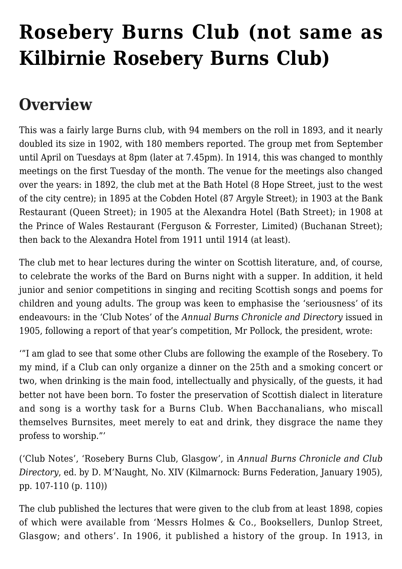# **[Rosebery Burns Club \(not same as](https://www.glasgowsliterarybonds.org/societies/rosebery-burns-club-not-same-as-kilbirnie-rosebery-burns-club/) [Kilbirnie Rosebery Burns Club\)](https://www.glasgowsliterarybonds.org/societies/rosebery-burns-club-not-same-as-kilbirnie-rosebery-burns-club/)**

# **Overview**

This was a fairly large Burns club, with 94 members on the roll in 1893, and it nearly doubled its size in 1902, with 180 members reported. The group met from September until April on Tuesdays at 8pm (later at 7.45pm). In 1914, this was changed to monthly meetings on the first Tuesday of the month. The venue for the meetings also changed over the years: in 1892, the club met at the Bath Hotel (8 Hope Street, just to the west of the city centre); in 1895 at the Cobden Hotel (87 Argyle Street); in 1903 at the Bank Restaurant (Queen Street); in 1905 at the Alexandra Hotel (Bath Street); in 1908 at the Prince of Wales Restaurant (Ferguson & Forrester, Limited) (Buchanan Street); then back to the Alexandra Hotel from 1911 until 1914 (at least).

The club met to hear lectures during the winter on Scottish literature, and, of course, to celebrate the works of the Bard on Burns night with a supper. In addition, it held junior and senior competitions in singing and reciting Scottish songs and poems for children and young adults. The group was keen to emphasise the 'seriousness' of its endeavours: in the 'Club Notes' of the *Annual Burns Chronicle and Directory* issued in 1905, following a report of that year's competition, Mr Pollock, the president, wrote:

'"I am glad to see that some other Clubs are following the example of the Rosebery. To my mind, if a Club can only organize a dinner on the 25th and a smoking concert or two, when drinking is the main food, intellectually and physically, of the guests, it had better not have been born. To foster the preservation of Scottish dialect in literature and song is a worthy task for a Burns Club. When Bacchanalians, who miscall themselves Burnsites, meet merely to eat and drink, they disgrace the name they profess to worship."'

('Club Notes', 'Rosebery Burns Club, Glasgow', in *Annual Burns Chronicle and Club Directory*, ed. by D. M'Naught, No. XIV (Kilmarnock: Burns Federation, January 1905), pp. 107-110 (p. 110))

The club published the lectures that were given to the club from at least 1898, copies of which were available from 'Messrs Holmes & Co., Booksellers, Dunlop Street, Glasgow; and others'. In 1906, it published a history of the group. In 1913, in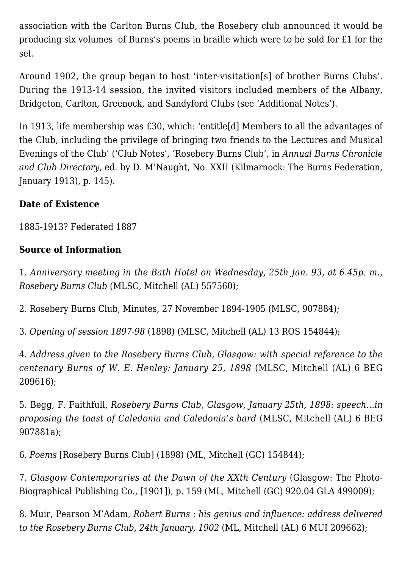association with the Carlton Burns Club, the Rosebery club announced it would be producing six volumes of Burns's poems in braille which were to be sold for £1 for the set.

Around 1902, the group began to host 'inter-visitation[s] of brother Burns Clubs'. During the 1913-14 session, the invited visitors included members of the Albany, Bridgeton, Carlton, Greenock, and Sandyford Clubs (see 'Additional Notes').

In 1913, life membership was £30, which: 'entitle[d] Members to all the advantages of the Club, including the privilege of bringing two friends to the Lectures and Musical Evenings of the Club' ('Club Notes', 'Rosebery Burns Club', in *Annual Burns Chronicle and Club Directory*, ed. by D. M'Naught, No. XXII (Kilmarnock: The Burns Federation, January 1913), p. 145).

## **Date of Existence**

1885-1913? Federated 1887

# **Source of Information**

1. *Anniversary meeting in the Bath Hotel on Wednesday, 25th Jan. 93, at 6.45p. m., Rosebery Burns Club* (MLSC, Mitchell (AL) 557560);

2. Rosebery Burns Club, Minutes, 27 November 1894-1905 (MLSC, 907884);

3. *Opening of session 1897-98* (1898) (MLSC, Mitchell (AL) 13 ROS 154844);

4. *Address given to the Rosebery Burns Club, Glasgow: with special reference to the centenary Burns of W. E. Henley: January 25, 1898* (MLSC, Mitchell (AL) 6 BEG 209616);

5. Begg, F. Faithfull, *Rosebery Burns Club, Glasgow, January 25th, 1898: speech…in proposing the toast of Caledonia and Caledonia's bard* (MLSC, Mitchell (AL) 6 BEG 907881a);

6. *Poems* [Rosebery Burns Club] (1898) (ML, Mitchell (GC) 154844);

7. *Glasgow Contemporaries at the Dawn of the XXth Century* (Glasgow: The Photo-Biographical Publishing Co., [1901]), p. 159 (ML, Mitchell (GC) 920.04 GLA 499009);

8. Muir, Pearson M'Adam, *Robert Burns : his genius and influence: address delivered to the Rosebery Burns Club, 24th January, 1902* (ML, Mitchell (AL) 6 MUI 209662);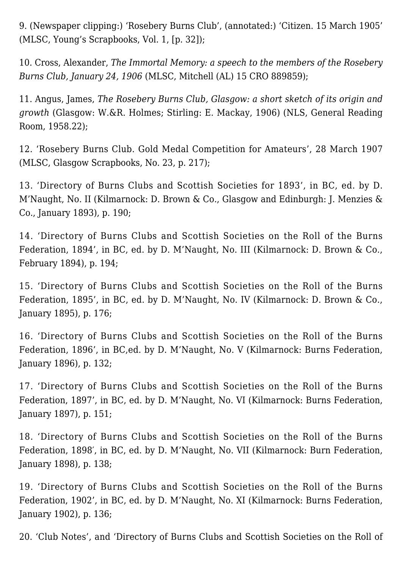9. (Newspaper clipping:) 'Rosebery Burns Club', (annotated:) 'Citizen. 15 March 1905' (MLSC, Young's Scrapbooks, Vol. 1, [p. 32]);

10. Cross, Alexander, *The Immortal Memory: a speech to the members of the Rosebery Burns Club, January 24, 1906* (MLSC, Mitchell (AL) 15 CRO 889859);

11. Angus, James, *The Rosebery Burns Club, Glasgow: a short sketch of its origin and growth* (Glasgow: W.&R. Holmes; Stirling: E. Mackay, 1906) (NLS, General Reading Room, 1958.22);

12. 'Rosebery Burns Club. Gold Medal Competition for Amateurs', 28 March 1907 (MLSC, Glasgow Scrapbooks, No. 23, p. 217);

13. 'Directory of Burns Clubs and Scottish Societies for 1893', in BC, ed. by D. M'Naught, No. II (Kilmarnock: D. Brown & Co., Glasgow and Edinburgh: J. Menzies & Co., January 1893), p. 190;

14. 'Directory of Burns Clubs and Scottish Societies on the Roll of the Burns Federation, 1894', in BC, ed. by D. M'Naught, No. III (Kilmarnock: D. Brown & Co., February 1894), p. 194;

15. 'Directory of Burns Clubs and Scottish Societies on the Roll of the Burns Federation, 1895', in BC, ed. by D. M'Naught, No. IV (Kilmarnock: D. Brown & Co., January 1895), p. 176;

16. 'Directory of Burns Clubs and Scottish Societies on the Roll of the Burns Federation, 1896', in BC,ed. by D. M'Naught, No. V (Kilmarnock: Burns Federation, January 1896), p. 132;

17. 'Directory of Burns Clubs and Scottish Societies on the Roll of the Burns Federation, 1897', in BC, ed. by D. M'Naught, No. VI (Kilmarnock: Burns Federation, January 1897), p. 151;

18. 'Directory of Burns Clubs and Scottish Societies on the Roll of the Burns Federation, 1898′, in BC, ed. by D. M'Naught, No. VII (Kilmarnock: Burn Federation, January 1898), p. 138;

19. 'Directory of Burns Clubs and Scottish Societies on the Roll of the Burns Federation, 1902', in BC, ed. by D. M'Naught, No. XI (Kilmarnock: Burns Federation, January 1902), p. 136;

20. 'Club Notes', and 'Directory of Burns Clubs and Scottish Societies on the Roll of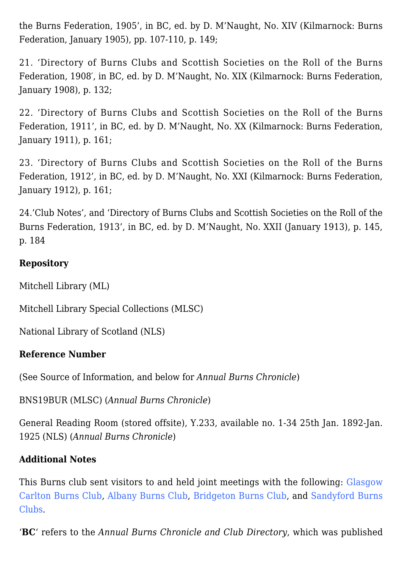the Burns Federation, 1905', in BC, ed. by D. M'Naught, No. XIV (Kilmarnock: Burns Federation, January 1905), pp. 107-110, p. 149;

21. 'Directory of Burns Clubs and Scottish Societies on the Roll of the Burns Federation, 1908′, in BC, ed. by D. M'Naught, No. XIX (Kilmarnock: Burns Federation, January 1908), p. 132;

22. 'Directory of Burns Clubs and Scottish Societies on the Roll of the Burns Federation, 1911', in BC, ed. by D. M'Naught, No. XX (Kilmarnock: Burns Federation, January 1911), p. 161;

23. 'Directory of Burns Clubs and Scottish Societies on the Roll of the Burns Federation, 1912', in BC, ed. by D. M'Naught, No. XXI (Kilmarnock: Burns Federation, January 1912), p. 161;

24.'Club Notes', and 'Directory of Burns Clubs and Scottish Societies on the Roll of the Burns Federation, 1913', in BC, ed. by D. M'Naught, No. XXII (January 1913), p. 145, p. 184

### **Repository**

Mitchell Library (ML)

Mitchell Library Special Collections (MLSC)

National Library of Scotland (NLS)

#### **Reference Number**

(See Source of Information, and below for *Annual Burns Chronicle*)

BNS19BUR (MLSC) (*Annual Burns Chronicle*)

General Reading Room (stored offsite), Y.233, available no. 1-34 25th Jan. 1892-Jan. 1925 (NLS) (*Annual Burns Chronicle*)

#### **Additional Notes**

This Burns club sent visitors to and held joint meetings with the following: [Glasgow](http://www.glasgowsliterarybonds.org/societies/glasgow-carlton-burns-club/) [Carlton Burns Club](http://www.glasgowsliterarybonds.org/societies/glasgow-carlton-burns-club/), [Albany Burns Club](http://www.glasgowsliterarybonds.org/societies/albany-burns-club-aka-glasgow-albany-burns-club/), [Bridgeton Burns Club,](http://www.glasgowsliterarybonds.org/societies/bridgeton-burns-club/) and [Sandyford Burns](http://www.glasgowsliterarybonds.org/societies/sandyford-burns-club/) [Clubs](http://www.glasgowsliterarybonds.org/societies/sandyford-burns-club/).

'**BC**' refers to the *Annual Burns Chronicle and Club Directory*, which was published